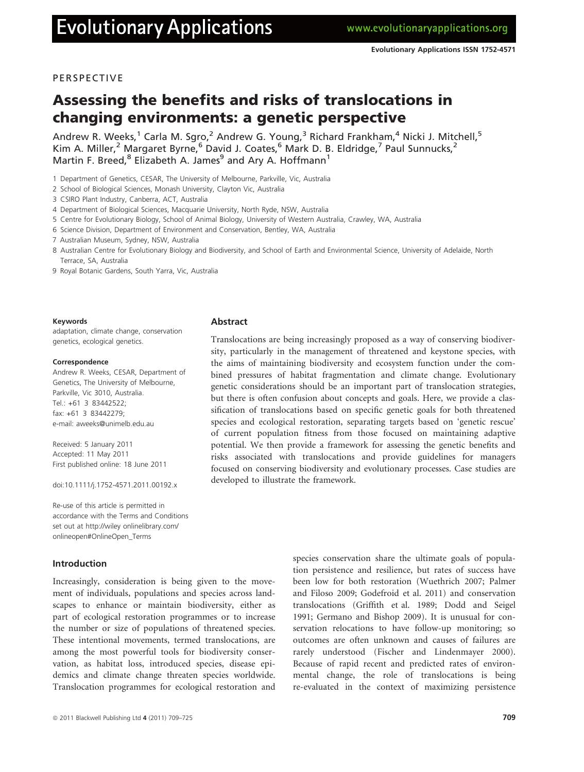## **PERSPECTIVE**

# Assessing the benefits and risks of translocations in changing environments: a genetic perspective

Andrew R. Weeks,<sup>1</sup> Carla M. Sgro,<sup>2</sup> Andrew G. Young,<sup>3</sup> Richard Frankham,<sup>4</sup> Nicki J. Mitchell,<sup>5</sup> Kim A. Miller,<sup>2</sup> Margaret Byrne,<sup>6</sup> David J. Coates,<sup>6</sup> Mark D. B. Eldridge,<sup>7</sup> Paul Sunnucks,<sup>2</sup> Martin F. Breed, $8$  Elizabeth A. James<sup>9</sup> and Ary A. Hoffmann<sup>1</sup>

1 Department of Genetics, CESAR, The University of Melbourne, Parkville, Vic, Australia

- 2 School of Biological Sciences, Monash University, Clayton Vic, Australia
- 3 CSIRO Plant Industry, Canberra, ACT, Australia

4 Department of Biological Sciences, Macquarie University, North Ryde, NSW, Australia

5 Centre for Evolutionary Biology, School of Animal Biology, University of Western Australia, Crawley, WA, Australia

Abstract

6 Science Division, Department of Environment and Conservation, Bentley, WA, Australia

- 7 Australian Museum, Sydney, NSW, Australia
- 8 Australian Centre for Evolutionary Biology and Biodiversity, and School of Earth and Environmental Science, University of Adelaide, North Terrace, SA, Australia
- 9 Royal Botanic Gardens, South Yarra, Vic, Australia

#### Keywords

adaptation, climate change, conservation genetics, ecological genetics.

#### Correspondence

Andrew R. Weeks, CESAR, Department of Genetics, The University of Melbourne, Parkville, Vic 3010, Australia. Tel.: +61 3 83442522; fax: +61 3 83442279; e-mail: aweeks@unimelb.edu.au

Received: 5 January 2011 Accepted: 11 May 2011 First published online: 18 June 2011

doi:10.1111/j.1752-4571.2011.00192.x

Re-use of this article is permitted in accordance with the Terms and Conditions set out at http://wiley onlinelibrary.com/ onlineopen#OnlineOpen\_Terms

#### Introduction

Increasingly, consideration is being given to the movement of individuals, populations and species across landscapes to enhance or maintain biodiversity, either as part of ecological restoration programmes or to increase the number or size of populations of threatened species. These intentional movements, termed translocations, are among the most powerful tools for biodiversity conservation, as habitat loss, introduced species, disease epidemics and climate change threaten species worldwide. Translocation programmes for ecological restoration and

the aims of maintaining biodiversity and ecosystem function under the combined pressures of habitat fragmentation and climate change. Evolutionary genetic considerations should be an important part of translocation strategies, but there is often confusion about concepts and goals. Here, we provide a classification of translocations based on specific genetic goals for both threatened species and ecological restoration, separating targets based on 'genetic rescue' of current population fitness from those focused on maintaining adaptive potential. We then provide a framework for assessing the genetic benefits and risks associated with translocations and provide guidelines for managers focused on conserving biodiversity and evolutionary processes. Case studies are developed to illustrate the framework.

Translocations are being increasingly proposed as a way of conserving biodiversity, particularly in the management of threatened and keystone species, with

> species conservation share the ultimate goals of population persistence and resilience, but rates of success have been low for both restoration (Wuethrich 2007; Palmer and Filoso 2009; Godefroid et al. 2011) and conservation translocations (Griffith et al. 1989; Dodd and Seigel 1991; Germano and Bishop 2009). It is unusual for conservation relocations to have follow-up monitoring; so outcomes are often unknown and causes of failures are rarely understood (Fischer and Lindenmayer 2000). Because of rapid recent and predicted rates of environmental change, the role of translocations is being re-evaluated in the context of maximizing persistence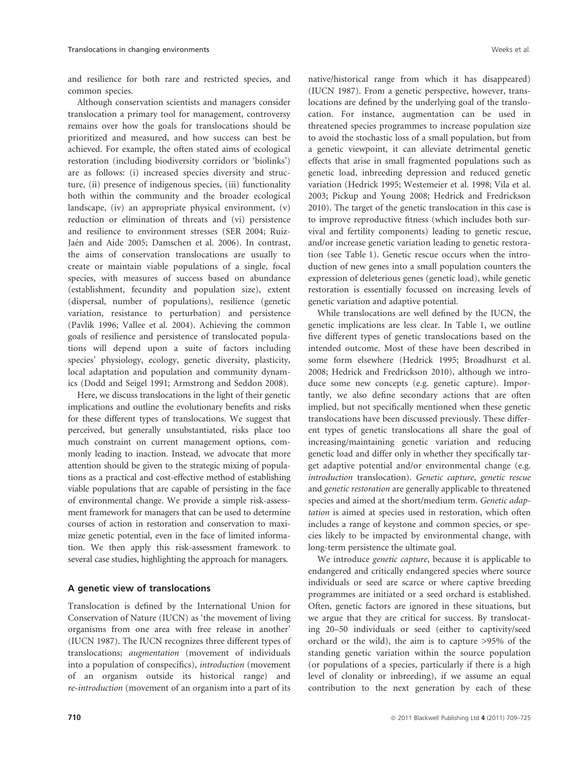and resilience for both rare and restricted species, and common species.

Although conservation scientists and managers consider translocation a primary tool for management, controversy remains over how the goals for translocations should be prioritized and measured, and how success can best be achieved. For example, the often stated aims of ecological restoration (including biodiversity corridors or 'biolinks') are as follows: (i) increased species diversity and structure, (ii) presence of indigenous species, (iii) functionality both within the community and the broader ecological landscape, (iv) an appropriate physical environment, (v) reduction or elimination of threats and (vi) persistence and resilience to environment stresses (SER 2004; Ruiz-Jaén and Aide 2005; Damschen et al. 2006). In contrast, the aims of conservation translocations are usually to create or maintain viable populations of a single, focal species, with measures of success based on abundance (establishment, fecundity and population size), extent (dispersal, number of populations), resilience (genetic variation, resistance to perturbation) and persistence (Pavlik 1996; Vallee et al. 2004). Achieving the common goals of resilience and persistence of translocated populations will depend upon a suite of factors including species' physiology, ecology, genetic diversity, plasticity, local adaptation and population and community dynamics (Dodd and Seigel 1991; Armstrong and Seddon 2008).

Here, we discuss translocations in the light of their genetic implications and outline the evolutionary benefits and risks for these different types of translocations. We suggest that perceived, but generally unsubstantiated, risks place too much constraint on current management options, commonly leading to inaction. Instead, we advocate that more attention should be given to the strategic mixing of populations as a practical and cost-effective method of establishing viable populations that are capable of persisting in the face of environmental change. We provide a simple risk-assessment framework for managers that can be used to determine courses of action in restoration and conservation to maximize genetic potential, even in the face of limited information. We then apply this risk-assessment framework to several case studies, highlighting the approach for managers.

## A genetic view of translocations

Translocation is defined by the International Union for Conservation of Nature (IUCN) as 'the movement of living organisms from one area with free release in another' (IUCN 1987). The IUCN recognizes three different types of translocations; augmentation (movement of individuals into a population of conspecifics), introduction (movement of an organism outside its historical range) and re-introduction (movement of an organism into a part of its

native/historical range from which it has disappeared) (IUCN 1987). From a genetic perspective, however, translocations are defined by the underlying goal of the translocation. For instance, augmentation can be used in threatened species programmes to increase population size to avoid the stochastic loss of a small population, but from a genetic viewpoint, it can alleviate detrimental genetic effects that arise in small fragmented populations such as genetic load, inbreeding depression and reduced genetic variation (Hedrick 1995; Westemeier et al. 1998; Vila et al. 2003; Pickup and Young 2008; Hedrick and Fredrickson 2010). The target of the genetic translocation in this case is to improve reproductive fitness (which includes both survival and fertility components) leading to genetic rescue, and/or increase genetic variation leading to genetic restoration (see Table 1). Genetic rescue occurs when the introduction of new genes into a small population counters the expression of deleterious genes (genetic load), while genetic restoration is essentially focussed on increasing levels of genetic variation and adaptive potential.

While translocations are well defined by the IUCN, the genetic implications are less clear. In Table 1, we outline five different types of genetic translocations based on the intended outcome. Most of these have been described in some form elsewhere (Hedrick 1995; Broadhurst et al. 2008; Hedrick and Fredrickson 2010), although we introduce some new concepts (e.g. genetic capture). Importantly, we also define secondary actions that are often implied, but not specifically mentioned when these genetic translocations have been discussed previously. These different types of genetic translocations all share the goal of increasing/maintaining genetic variation and reducing genetic load and differ only in whether they specifically target adaptive potential and/or environmental change (e.g. introduction translocation). Genetic capture, genetic rescue and genetic restoration are generally applicable to threatened species and aimed at the short/medium term. Genetic adaptation is aimed at species used in restoration, which often includes a range of keystone and common species, or species likely to be impacted by environmental change, with long-term persistence the ultimate goal.

We introduce genetic capture, because it is applicable to endangered and critically endangered species where source individuals or seed are scarce or where captive breeding programmes are initiated or a seed orchard is established. Often, genetic factors are ignored in these situations, but we argue that they are critical for success. By translocating 20–50 individuals or seed (either to captivity/seed orchard or the wild), the aim is to capture >95% of the standing genetic variation within the source population (or populations of a species, particularly if there is a high level of clonality or inbreeding), if we assume an equal contribution to the next generation by each of these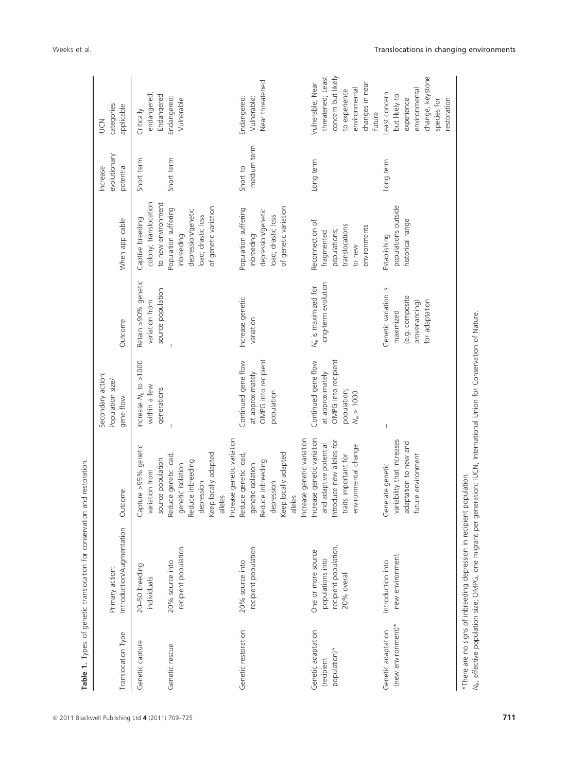|                                                  | Table 1. Types of genetic translocation for conservation                       | and restoration.                                                                                                                              |                                                                                                     |                                                                                         |                                                                                                        |                                       |                                                                                                                            |
|--------------------------------------------------|--------------------------------------------------------------------------------|-----------------------------------------------------------------------------------------------------------------------------------------------|-----------------------------------------------------------------------------------------------------|-----------------------------------------------------------------------------------------|--------------------------------------------------------------------------------------------------------|---------------------------------------|----------------------------------------------------------------------------------------------------------------------------|
| Translocation Type                               | Introduction/Augmentation<br>Primary action:                                   | Outcome                                                                                                                                       | Secondary action:<br>Population size/<br>gene flow                                                  | Outcome                                                                                 | When applicable                                                                                        | evolutionary<br>potential<br>Increase | categories<br>applicable<br>NOCK                                                                                           |
| Genetic capture                                  | 20-50 breeding<br>individuals                                                  | Capture >95% genetic<br>source population<br>variation from                                                                                   | Increase $N_e$ to $> 1000$<br>within a few<br>generations                                           | Retain >90% genetic<br>source population<br>variation from                              | colony; translocation<br>to new environment<br>Captive breeding                                        | Short term                            | endangered;<br>Endangered<br>Critically                                                                                    |
| Genetic rescue                                   | recipient population<br>20% source into                                        | Increase genetic variation<br>Keep locally adapted<br>Reduce genetic load,<br>Reduce inbreeding<br>genetic isolation<br>depression<br>alleles |                                                                                                     |                                                                                         | of genetic variation<br>Population suffering<br>depression/genetic<br>load; drastic loss<br>inbreeding | Short term                            | Endangered;<br>Vulnerable                                                                                                  |
| Genetic restoration                              | recipient population<br>20% source into                                        | Reduce genetic load,<br>genetic isolation                                                                                                     | Continued gene flow<br>at approximately                                                             | Increase genetic<br>variation                                                           | Population suffering<br>inbreeding                                                                     | medium term<br>Short to               | Endangered;<br>Vulnerable;                                                                                                 |
|                                                  |                                                                                | Increase genetic variation<br>Keep locally adapted<br>Reduce inbreeding<br>depression<br>alleles                                              | OMPG into recipient<br>population                                                                   |                                                                                         | of genetic variation<br>depression/genetic<br>load; drastic loss                                       |                                       | Near threatened                                                                                                            |
| Genetic adaptation<br>population)*<br>(recipient | recipient population,<br>One or more source<br>populations into<br>20% overall | Increase genetic variation<br>Introduce new alleles for<br>and adaptive potential<br>environmental change<br>traits important for             | OMPG into recipient<br>Continued gene flow<br>at approximately<br>population;<br>$N_{\rm e} > 1000$ | long-term evolution<br>$N_e$ is maximized for                                           | Reconnection of<br>translocations<br>environments<br>populations;<br>fragmented<br>to new              | Long term                             | threatened; Least<br>concern but likely<br>Vulnerable; Near<br>changes in near<br>environmental<br>to experience<br>future |
| (new environment)*<br>Genetic adaptation         | new environment<br>Introduction into                                           | variability that increases<br>adaptation to new and<br>future environment<br>Generate genetic                                                 |                                                                                                     | Genetic variation is<br>(e.g. composite<br>for adaptation<br>provenancing)<br>maximized | populations outside<br>historical range<br>Establishing                                                | Long term                             | change, keystone<br>environmental<br>-east concern<br>but likely to<br>experience<br>restoration<br>species for            |

\*There are no signs of inbreeding depression in recipient population.<br>N<sub>e</sub>, effective population size; OMPG, one migrant per generation; IUCN, International Union for Conservation of Nature. Ne, effective population size; OMPG, one migrant per generation; IUCN, International Union for Conservation of Nature. \*There are no signs of inbreeding depression in recipient population.

ª 2011 Blackwell Publishing Ltd 4 (2011) 709–725 711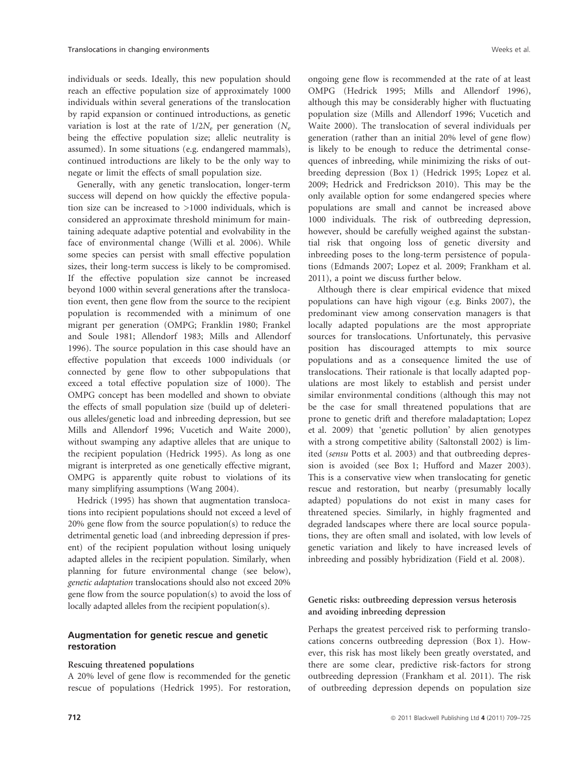individuals or seeds. Ideally, this new population should reach an effective population size of approximately 1000 individuals within several generations of the translocation by rapid expansion or continued introductions, as genetic variation is lost at the rate of  $1/2N_e$  per generation  $(N_e$ being the effective population size; allelic neutrality is assumed). In some situations (e.g. endangered mammals), continued introductions are likely to be the only way to negate or limit the effects of small population size.

Generally, with any genetic translocation, longer-term success will depend on how quickly the effective population size can be increased to >1000 individuals, which is considered an approximate threshold minimum for maintaining adequate adaptive potential and evolvability in the face of environmental change (Willi et al. 2006). While some species can persist with small effective population sizes, their long-term success is likely to be compromised. If the effective population size cannot be increased beyond 1000 within several generations after the translocation event, then gene flow from the source to the recipient population is recommended with a minimum of one migrant per generation (OMPG; Franklin 1980; Frankel and Soule 1981; Allendorf 1983; Mills and Allendorf 1996). The source population in this case should have an effective population that exceeds 1000 individuals (or connected by gene flow to other subpopulations that exceed a total effective population size of 1000). The OMPG concept has been modelled and shown to obviate the effects of small population size (build up of deleterious alleles/genetic load and inbreeding depression, but see Mills and Allendorf 1996; Vucetich and Waite 2000), without swamping any adaptive alleles that are unique to the recipient population (Hedrick 1995). As long as one migrant is interpreted as one genetically effective migrant, OMPG is apparently quite robust to violations of its many simplifying assumptions (Wang 2004).

Hedrick (1995) has shown that augmentation translocations into recipient populations should not exceed a level of 20% gene flow from the source population(s) to reduce the detrimental genetic load (and inbreeding depression if present) of the recipient population without losing uniquely adapted alleles in the recipient population. Similarly, when planning for future environmental change (see below), genetic adaptation translocations should also not exceed 20% gene flow from the source population(s) to avoid the loss of locally adapted alleles from the recipient population(s).

## Augmentation for genetic rescue and genetic restoration

#### Rescuing threatened populations

A 20% level of gene flow is recommended for the genetic rescue of populations (Hedrick 1995). For restoration, ongoing gene flow is recommended at the rate of at least OMPG (Hedrick 1995; Mills and Allendorf 1996), although this may be considerably higher with fluctuating population size (Mills and Allendorf 1996; Vucetich and Waite 2000). The translocation of several individuals per generation (rather than an initial 20% level of gene flow) is likely to be enough to reduce the detrimental consequences of inbreeding, while minimizing the risks of outbreeding depression (Box 1) (Hedrick 1995; Lopez et al. 2009; Hedrick and Fredrickson 2010). This may be the only available option for some endangered species where populations are small and cannot be increased above 1000 individuals. The risk of outbreeding depression, however, should be carefully weighed against the substantial risk that ongoing loss of genetic diversity and inbreeding poses to the long-term persistence of populations (Edmands 2007; Lopez et al. 2009; Frankham et al. 2011), a point we discuss further below.

Although there is clear empirical evidence that mixed populations can have high vigour (e.g. Binks 2007), the predominant view among conservation managers is that locally adapted populations are the most appropriate sources for translocations. Unfortunately, this pervasive position has discouraged attempts to mix source populations and as a consequence limited the use of translocations. Their rationale is that locally adapted populations are most likely to establish and persist under similar environmental conditions (although this may not be the case for small threatened populations that are prone to genetic drift and therefore maladaptation; Lopez et al. 2009) that 'genetic pollution' by alien genotypes with a strong competitive ability (Saltonstall 2002) is limited (sensu Potts et al. 2003) and that outbreeding depression is avoided (see Box 1; Hufford and Mazer 2003). This is a conservative view when translocating for genetic rescue and restoration, but nearby (presumably locally adapted) populations do not exist in many cases for threatened species. Similarly, in highly fragmented and degraded landscapes where there are local source populations, they are often small and isolated, with low levels of genetic variation and likely to have increased levels of inbreeding and possibly hybridization (Field et al. 2008).

## Genetic risks: outbreeding depression versus heterosis and avoiding inbreeding depression

Perhaps the greatest perceived risk to performing translocations concerns outbreeding depression (Box 1). However, this risk has most likely been greatly overstated, and there are some clear, predictive risk-factors for strong outbreeding depression (Frankham et al. 2011). The risk of outbreeding depression depends on population size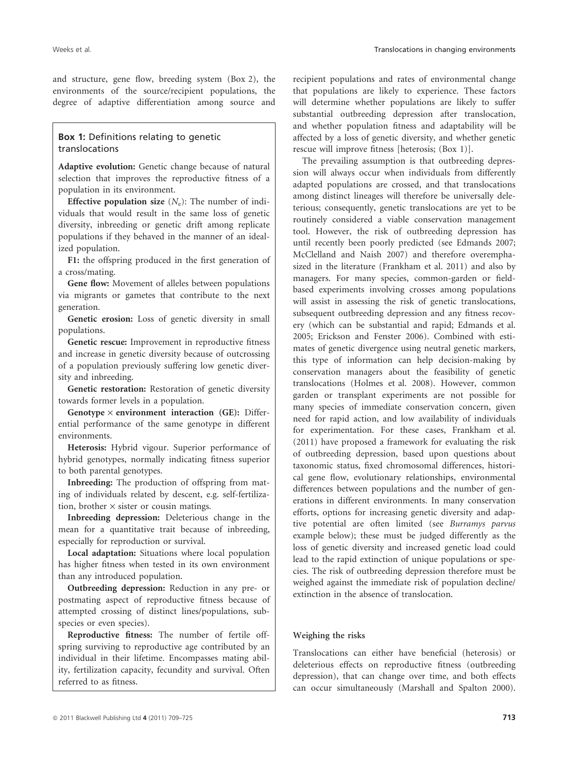and structure, gene flow, breeding system (Box 2), the environments of the source/recipient populations, the degree of adaptive differentiation among source and

## Box 1: Definitions relating to genetic translocations

Adaptive evolution: Genetic change because of natural selection that improves the reproductive fitness of a population in its environment.

Effective population size  $(N_e)$ : The number of individuals that would result in the same loss of genetic diversity, inbreeding or genetic drift among replicate populations if they behaved in the manner of an idealized population.

F1: the offspring produced in the first generation of a cross/mating.

Gene flow: Movement of alleles between populations via migrants or gametes that contribute to the next generation.

Genetic erosion: Loss of genetic diversity in small populations.

Genetic rescue: Improvement in reproductive fitness and increase in genetic diversity because of outcrossing of a population previously suffering low genetic diversity and inbreeding.

Genetic restoration: Restoration of genetic diversity towards former levels in a population.

Genotype  $\times$  environment interaction (GE): Differential performance of the same genotype in different environments.

Heterosis: Hybrid vigour. Superior performance of hybrid genotypes, normally indicating fitness superior to both parental genotypes.

Inbreeding: The production of offspring from mating of individuals related by descent, e.g. self-fertilization, brother  $\times$  sister or cousin matings.

Inbreeding depression: Deleterious change in the mean for a quantitative trait because of inbreeding, especially for reproduction or survival.

Local adaptation: Situations where local population has higher fitness when tested in its own environment than any introduced population.

Outbreeding depression: Reduction in any pre- or postmating aspect of reproductive fitness because of attempted crossing of distinct lines/populations, subspecies or even species).

Reproductive fitness: The number of fertile offspring surviving to reproductive age contributed by an individual in their lifetime. Encompasses mating ability, fertilization capacity, fecundity and survival. Often referred to as fitness.

recipient populations and rates of environmental change that populations are likely to experience. These factors will determine whether populations are likely to suffer substantial outbreeding depression after translocation, and whether population fitness and adaptability will be affected by a loss of genetic diversity, and whether genetic rescue will improve fitness [heterosis; (Box 1)].

The prevailing assumption is that outbreeding depression will always occur when individuals from differently adapted populations are crossed, and that translocations among distinct lineages will therefore be universally deleterious; consequently, genetic translocations are yet to be routinely considered a viable conservation management tool. However, the risk of outbreeding depression has until recently been poorly predicted (see Edmands 2007; McClelland and Naish 2007) and therefore overemphasized in the literature (Frankham et al. 2011) and also by managers. For many species, common-garden or fieldbased experiments involving crosses among populations will assist in assessing the risk of genetic translocations, subsequent outbreeding depression and any fitness recovery (which can be substantial and rapid; Edmands et al. 2005; Erickson and Fenster 2006). Combined with estimates of genetic divergence using neutral genetic markers, this type of information can help decision-making by conservation managers about the feasibility of genetic translocations (Holmes et al. 2008). However, common garden or transplant experiments are not possible for many species of immediate conservation concern, given need for rapid action, and low availability of individuals for experimentation. For these cases, Frankham et al. (2011) have proposed a framework for evaluating the risk of outbreeding depression, based upon questions about taxonomic status, fixed chromosomal differences, historical gene flow, evolutionary relationships, environmental differences between populations and the number of generations in different environments. In many conservation efforts, options for increasing genetic diversity and adaptive potential are often limited (see Burramys parvus example below); these must be judged differently as the loss of genetic diversity and increased genetic load could lead to the rapid extinction of unique populations or species. The risk of outbreeding depression therefore must be weighed against the immediate risk of population decline/ extinction in the absence of translocation.

#### Weighing the risks

Translocations can either have beneficial (heterosis) or deleterious effects on reproductive fitness (outbreeding depression), that can change over time, and both effects can occur simultaneously (Marshall and Spalton 2000).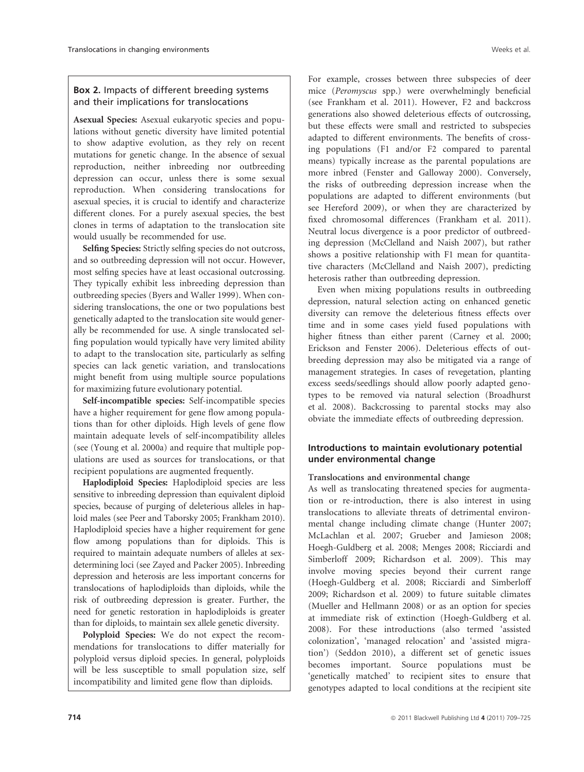# Box 2. Impacts of different breeding systems and their implications for translocations

Asexual Species: Asexual eukaryotic species and populations without genetic diversity have limited potential to show adaptive evolution, as they rely on recent mutations for genetic change. In the absence of sexual reproduction, neither inbreeding nor outbreeding depression can occur, unless there is some sexual reproduction. When considering translocations for asexual species, it is crucial to identify and characterize different clones. For a purely asexual species, the best clones in terms of adaptation to the translocation site would usually be recommended for use.

Selfing Species: Strictly selfing species do not outcross, and so outbreeding depression will not occur. However, most selfing species have at least occasional outcrossing. They typically exhibit less inbreeding depression than outbreeding species (Byers and Waller 1999). When considering translocations, the one or two populations best genetically adapted to the translocation site would generally be recommended for use. A single translocated selfing population would typically have very limited ability to adapt to the translocation site, particularly as selfing species can lack genetic variation, and translocations might benefit from using multiple source populations for maximizing future evolutionary potential.

Self-incompatible species: Self-incompatible species have a higher requirement for gene flow among populations than for other diploids. High levels of gene flow maintain adequate levels of self-incompatibility alleles (see (Young et al. 2000a) and require that multiple populations are used as sources for translocations, or that recipient populations are augmented frequently.

Haplodiploid Species: Haplodiploid species are less sensitive to inbreeding depression than equivalent diploid species, because of purging of deleterious alleles in haploid males (see Peer and Taborsky 2005; Frankham 2010). Haplodiploid species have a higher requirement for gene flow among populations than for diploids. This is required to maintain adequate numbers of alleles at sexdetermining loci (see Zayed and Packer 2005). Inbreeding depression and heterosis are less important concerns for translocations of haplodiploids than diploids, while the risk of outbreeding depression is greater. Further, the need for genetic restoration in haplodiploids is greater than for diploids, to maintain sex allele genetic diversity.

Polyploid Species: We do not expect the recommendations for translocations to differ materially for polyploid versus diploid species. In general, polyploids will be less susceptible to small population size, self incompatibility and limited gene flow than diploids.

For example, crosses between three subspecies of deer mice (Peromyscus spp.) were overwhelmingly beneficial (see Frankham et al. 2011). However, F2 and backcross generations also showed deleterious effects of outcrossing, but these effects were small and restricted to subspecies adapted to different environments. The benefits of crossing populations (F1 and/or F2 compared to parental means) typically increase as the parental populations are more inbred (Fenster and Galloway 2000). Conversely, the risks of outbreeding depression increase when the populations are adapted to different environments (but see Hereford 2009), or when they are characterized by fixed chromosomal differences (Frankham et al. 2011). Neutral locus divergence is a poor predictor of outbreeding depression (McClelland and Naish 2007), but rather shows a positive relationship with F1 mean for quantitative characters (McClelland and Naish 2007), predicting heterosis rather than outbreeding depression.

Even when mixing populations results in outbreeding depression, natural selection acting on enhanced genetic diversity can remove the deleterious fitness effects over time and in some cases yield fused populations with higher fitness than either parent (Carney et al. 2000; Erickson and Fenster 2006). Deleterious effects of outbreeding depression may also be mitigated via a range of management strategies. In cases of revegetation, planting excess seeds/seedlings should allow poorly adapted genotypes to be removed via natural selection (Broadhurst et al. 2008). Backcrossing to parental stocks may also obviate the immediate effects of outbreeding depression.

# Introductions to maintain evolutionary potential under environmental change

## Translocations and environmental change

As well as translocating threatened species for augmentation or re-introduction, there is also interest in using translocations to alleviate threats of detrimental environmental change including climate change (Hunter 2007; McLachlan et al. 2007; Grueber and Jamieson 2008; Hoegh-Guldberg et al. 2008; Menges 2008; Ricciardi and Simberloff 2009; Richardson et al. 2009). This may involve moving species beyond their current range (Hoegh-Guldberg et al. 2008; Ricciardi and Simberloff 2009; Richardson et al. 2009) to future suitable climates (Mueller and Hellmann 2008) or as an option for species at immediate risk of extinction (Hoegh-Guldberg et al. 2008). For these introductions (also termed 'assisted colonization', 'managed relocation' and 'assisted migration') (Seddon 2010), a different set of genetic issues becomes important. Source populations must be 'genetically matched' to recipient sites to ensure that genotypes adapted to local conditions at the recipient site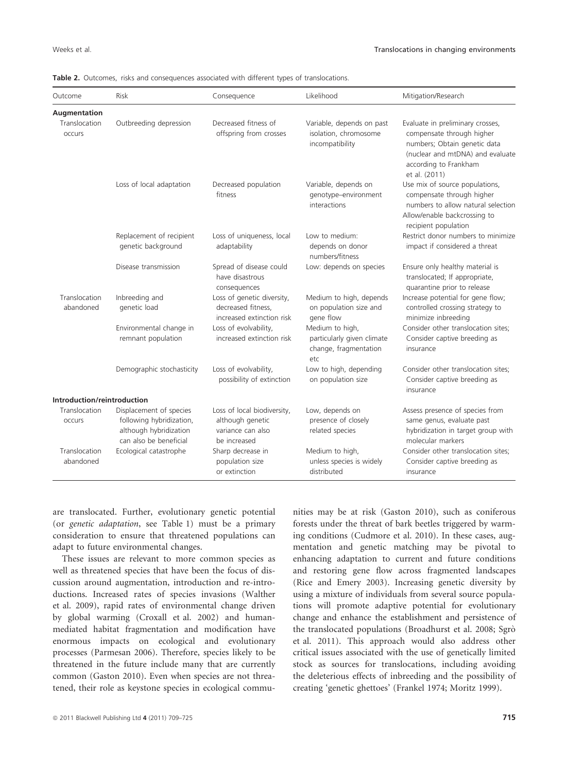| Outcome                        | <b>Risk</b>                                                                                             | Consequence                                                                          | Likelihood                                                                    | Mitigation/Research                                                                                                                                                         |
|--------------------------------|---------------------------------------------------------------------------------------------------------|--------------------------------------------------------------------------------------|-------------------------------------------------------------------------------|-----------------------------------------------------------------------------------------------------------------------------------------------------------------------------|
| <b>Augmentation</b>            |                                                                                                         |                                                                                      |                                                                               |                                                                                                                                                                             |
| Translocation<br><b>OCCUIS</b> | Outbreeding depression                                                                                  | Decreased fitness of<br>offspring from crosses                                       | Variable, depends on past<br>isolation, chromosome<br>incompatibility         | Evaluate in preliminary crosses,<br>compensate through higher<br>numbers; Obtain genetic data<br>(nuclear and mtDNA) and evaluate<br>according to Frankham<br>et al. (2011) |
|                                | Loss of local adaptation                                                                                | Decreased population<br>fitness                                                      | Variable, depends on<br>genotype-environment<br>interactions                  | Use mix of source populations,<br>compensate through higher<br>numbers to allow natural selection<br>Allow/enable backcrossing to<br>recipient population                   |
|                                | Replacement of recipient<br>genetic background                                                          | Loss of uniqueness, local<br>adaptability                                            | Low to medium:<br>depends on donor<br>numbers/fitness                         | Restrict donor numbers to minimize<br>impact if considered a threat                                                                                                         |
|                                | Disease transmission                                                                                    | Spread of disease could<br>have disastrous<br>consequences                           | Low: depends on species                                                       | Ensure only healthy material is<br>translocated; If appropriate,<br>quarantine prior to release                                                                             |
| Translocation<br>abandoned     | Inbreeding and<br>genetic load                                                                          | Loss of genetic diversity,<br>decreased fitness,<br>increased extinction risk        | Medium to high, depends<br>on population size and<br>gene flow                | Increase potential for gene flow;<br>controlled crossing strategy to<br>minimize inbreeding                                                                                 |
|                                | Environmental change in<br>remnant population                                                           | Loss of evolvability,<br>increased extinction risk                                   | Medium to high,<br>particularly given climate<br>change, fragmentation<br>etc | Consider other translocation sites;<br>Consider captive breeding as<br>insurance                                                                                            |
|                                | Demographic stochasticity                                                                               | Loss of evolvability,<br>possibility of extinction                                   | Low to high, depending<br>on population size                                  | Consider other translocation sites;<br>Consider captive breeding as<br>insurance                                                                                            |
| Introduction/reintroduction    |                                                                                                         |                                                                                      |                                                                               |                                                                                                                                                                             |
| Translocation<br><b>OCCUIS</b> | Displacement of species<br>following hybridization,<br>although hybridization<br>can also be beneficial | Loss of local biodiversity,<br>although genetic<br>variance can also<br>be increased | Low, depends on<br>presence of closely<br>related species                     | Assess presence of species from<br>same genus, evaluate past<br>hybridization in target group with<br>molecular markers                                                     |
| Translocation<br>abandoned     | Ecological catastrophe                                                                                  | Sharp decrease in<br>population size<br>or extinction                                | Medium to high,<br>unless species is widely<br>distributed                    | Consider other translocation sites;<br>Consider captive breeding as<br>insurance                                                                                            |

Table 2. Outcomes, risks and consequences associated with different types of translocations.

are translocated. Further, evolutionary genetic potential (or genetic adaptation, see Table 1) must be a primary consideration to ensure that threatened populations can adapt to future environmental changes.

These issues are relevant to more common species as well as threatened species that have been the focus of discussion around augmentation, introduction and re-introductions. Increased rates of species invasions (Walther et al. 2009), rapid rates of environmental change driven by global warming (Croxall et al. 2002) and humanmediated habitat fragmentation and modification have enormous impacts on ecological and evolutionary processes (Parmesan 2006). Therefore, species likely to be threatened in the future include many that are currently common (Gaston 2010). Even when species are not threatened, their role as keystone species in ecological communities may be at risk (Gaston 2010), such as coniferous forests under the threat of bark beetles triggered by warming conditions (Cudmore et al. 2010). In these cases, augmentation and genetic matching may be pivotal to enhancing adaptation to current and future conditions and restoring gene flow across fragmented landscapes (Rice and Emery 2003). Increasing genetic diversity by using a mixture of individuals from several source populations will promote adaptive potential for evolutionary change and enhance the establishment and persistence of the translocated populations (Broadhurst et al. 2008; Sgrò et al. 2011). This approach would also address other critical issues associated with the use of genetically limited stock as sources for translocations, including avoiding the deleterious effects of inbreeding and the possibility of creating 'genetic ghettoes' (Frankel 1974; Moritz 1999).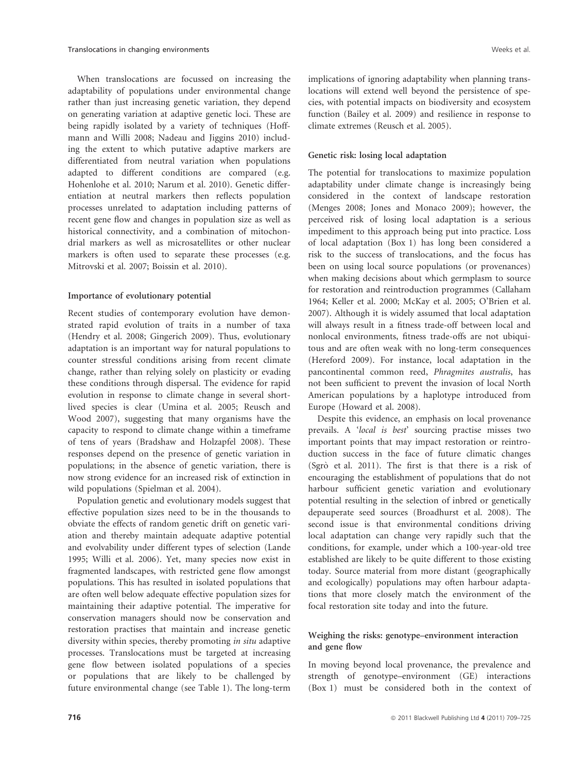When translocations are focussed on increasing the adaptability of populations under environmental change rather than just increasing genetic variation, they depend on generating variation at adaptive genetic loci. These are being rapidly isolated by a variety of techniques (Hoffmann and Willi 2008; Nadeau and Jiggins 2010) including the extent to which putative adaptive markers are differentiated from neutral variation when populations adapted to different conditions are compared (e.g. Hohenlohe et al. 2010; Narum et al. 2010). Genetic differentiation at neutral markers then reflects population processes unrelated to adaptation including patterns of recent gene flow and changes in population size as well as historical connectivity, and a combination of mitochondrial markers as well as microsatellites or other nuclear markers is often used to separate these processes (e.g. Mitrovski et al. 2007; Boissin et al. 2010).

#### Importance of evolutionary potential

Recent studies of contemporary evolution have demonstrated rapid evolution of traits in a number of taxa (Hendry et al. 2008; Gingerich 2009). Thus, evolutionary adaptation is an important way for natural populations to counter stressful conditions arising from recent climate change, rather than relying solely on plasticity or evading these conditions through dispersal. The evidence for rapid evolution in response to climate change in several shortlived species is clear (Umina et al. 2005; Reusch and Wood 2007), suggesting that many organisms have the capacity to respond to climate change within a timeframe of tens of years (Bradshaw and Holzapfel 2008). These responses depend on the presence of genetic variation in populations; in the absence of genetic variation, there is now strong evidence for an increased risk of extinction in wild populations (Spielman et al. 2004).

Population genetic and evolutionary models suggest that effective population sizes need to be in the thousands to obviate the effects of random genetic drift on genetic variation and thereby maintain adequate adaptive potential and evolvability under different types of selection (Lande 1995; Willi et al. 2006). Yet, many species now exist in fragmented landscapes, with restricted gene flow amongst populations. This has resulted in isolated populations that are often well below adequate effective population sizes for maintaining their adaptive potential. The imperative for conservation managers should now be conservation and restoration practises that maintain and increase genetic diversity within species, thereby promoting in situ adaptive processes. Translocations must be targeted at increasing gene flow between isolated populations of a species or populations that are likely to be challenged by future environmental change (see Table 1). The long-term implications of ignoring adaptability when planning translocations will extend well beyond the persistence of species, with potential impacts on biodiversity and ecosystem function (Bailey et al. 2009) and resilience in response to climate extremes (Reusch et al. 2005).

#### Genetic risk: losing local adaptation

The potential for translocations to maximize population adaptability under climate change is increasingly being considered in the context of landscape restoration (Menges 2008; Jones and Monaco 2009); however, the perceived risk of losing local adaptation is a serious impediment to this approach being put into practice. Loss of local adaptation (Box 1) has long been considered a risk to the success of translocations, and the focus has been on using local source populations (or provenances) when making decisions about which germplasm to source for restoration and reintroduction programmes (Callaham 1964; Keller et al. 2000; McKay et al. 2005; O'Brien et al. 2007). Although it is widely assumed that local adaptation will always result in a fitness trade-off between local and nonlocal environments, fitness trade-offs are not ubiquitous and are often weak with no long-term consequences (Hereford 2009). For instance, local adaptation in the pancontinental common reed, Phragmites australis, has not been sufficient to prevent the invasion of local North American populations by a haplotype introduced from Europe (Howard et al. 2008).

Despite this evidence, an emphasis on local provenance prevails. A 'local is best' sourcing practise misses two important points that may impact restoration or reintroduction success in the face of future climatic changes (Sgrò et al. 2011). The first is that there is a risk of encouraging the establishment of populations that do not harbour sufficient genetic variation and evolutionary potential resulting in the selection of inbred or genetically depauperate seed sources (Broadhurst et al. 2008). The second issue is that environmental conditions driving local adaptation can change very rapidly such that the conditions, for example, under which a 100-year-old tree established are likely to be quite different to those existing today. Source material from more distant (geographically and ecologically) populations may often harbour adaptations that more closely match the environment of the focal restoration site today and into the future.

## Weighing the risks: genotype–environment interaction and gene flow

In moving beyond local provenance, the prevalence and strength of genotype–environment (GE) interactions (Box 1) must be considered both in the context of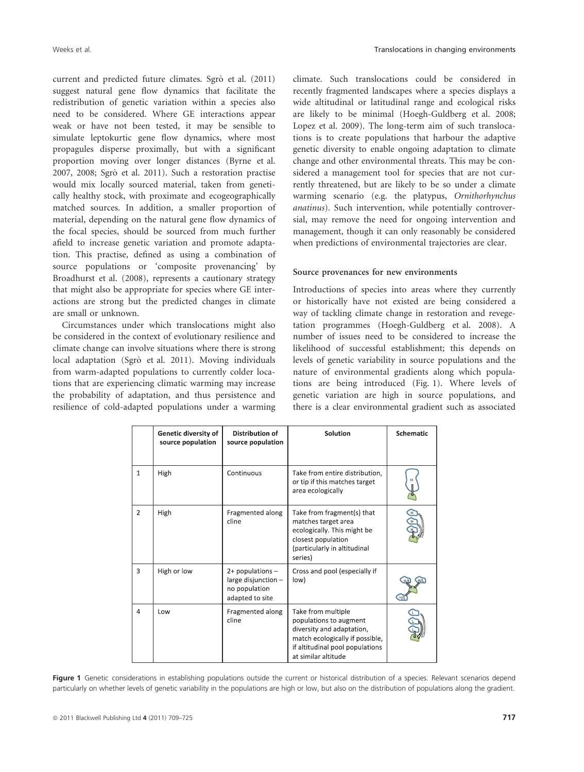current and predicted future climates. Sgrò et al. (2011) suggest natural gene flow dynamics that facilitate the redistribution of genetic variation within a species also need to be considered. Where GE interactions appear weak or have not been tested, it may be sensible to simulate leptokurtic gene flow dynamics, where most propagules disperse proximally, but with a significant proportion moving over longer distances (Byrne et al. 2007, 2008; Sgrò et al. 2011). Such a restoration practise would mix locally sourced material, taken from genetically healthy stock, with proximate and ecogeographically matched sources. In addition, a smaller proportion of material, depending on the natural gene flow dynamics of the focal species, should be sourced from much further afield to increase genetic variation and promote adaptation. This practise, defined as using a combination of source populations or 'composite provenancing' by Broadhurst et al. (2008), represents a cautionary strategy that might also be appropriate for species where GE interactions are strong but the predicted changes in climate are small or unknown.

Circumstances under which translocations might also be considered in the context of evolutionary resilience and climate change can involve situations where there is strong local adaptation (Sgrò et al. 2011). Moving individuals from warm-adapted populations to currently colder locations that are experiencing climatic warming may increase the probability of adaptation, and thus persistence and resilience of cold-adapted populations under a warming climate. Such translocations could be considered in recently fragmented landscapes where a species displays a wide altitudinal or latitudinal range and ecological risks are likely to be minimal (Hoegh-Guldberg et al. 2008; Lopez et al. 2009). The long-term aim of such translocations is to create populations that harbour the adaptive genetic diversity to enable ongoing adaptation to climate change and other environmental threats. This may be considered a management tool for species that are not currently threatened, but are likely to be so under a climate warming scenario (e.g. the platypus, Ornithorhynchus anatinus). Such intervention, while potentially controversial, may remove the need for ongoing intervention and management, though it can only reasonably be considered when predictions of environmental trajectories are clear.

#### Source provenances for new environments

Introductions of species into areas where they currently or historically have not existed are being considered a way of tackling climate change in restoration and revegetation programmes (Hoegh-Guldberg et al. 2008). A number of issues need to be considered to increase the likelihood of successful establishment; this depends on levels of genetic variability in source populations and the nature of environmental gradients along which populations are being introduced (Fig. 1). Where levels of genetic variation are high in source populations, and there is a clear environmental gradient such as associated

|                | Genetic diversity of<br>source population | Distribution of<br>source population                                              | Solution                                                                                                                                                               | <b>Schematic</b> |
|----------------|-------------------------------------------|-----------------------------------------------------------------------------------|------------------------------------------------------------------------------------------------------------------------------------------------------------------------|------------------|
| $\mathbf{1}$   | High                                      | Continuous                                                                        | Take from entire distribution,<br>or tip if this matches target<br>area ecologically                                                                                   |                  |
| $\overline{2}$ | High                                      | Fragmented along<br>cline                                                         | Take from fragment(s) that<br>matches target area<br>ecologically. This might be<br>closest population<br>(particularly in altitudinal<br>series)                      |                  |
| 3              | High or low                               | $2+$ populations $-$<br>large disjunction $-$<br>no population<br>adapted to site | Cross and pool (especially if<br>low)                                                                                                                                  | . H/I            |
| $\overline{4}$ | l ow                                      | Fragmented along<br>cline                                                         | Take from multiple<br>populations to augment<br>diversity and adaptation,<br>match ecologically if possible,<br>if altitudinal pool populations<br>at similar altitude |                  |

Figure 1 Genetic considerations in establishing populations outside the current or historical distribution of a species. Relevant scenarios depend particularly on whether levels of genetic variability in the populations are high or low, but also on the distribution of populations along the gradient.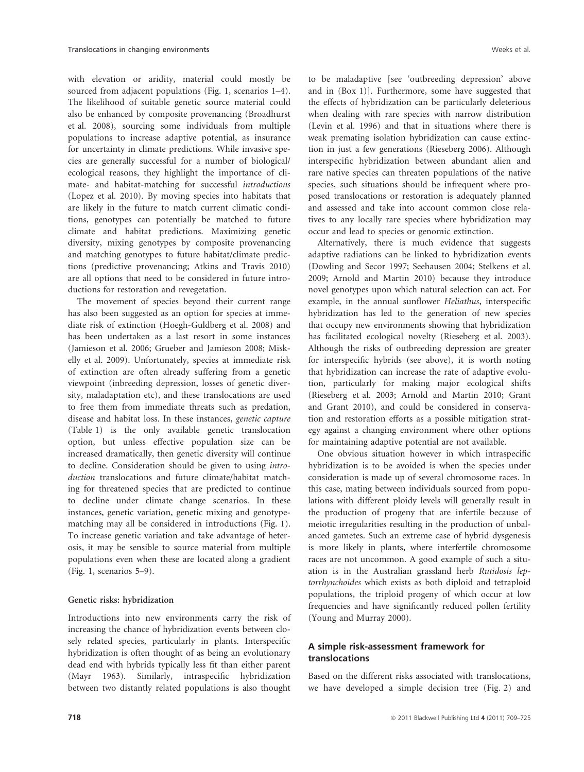with elevation or aridity, material could mostly be sourced from adjacent populations (Fig. 1, scenarios 1–4). The likelihood of suitable genetic source material could also be enhanced by composite provenancing (Broadhurst et al. 2008), sourcing some individuals from multiple populations to increase adaptive potential, as insurance for uncertainty in climate predictions. While invasive species are generally successful for a number of biological/ ecological reasons, they highlight the importance of climate- and habitat-matching for successful introductions (Lopez et al. 2010). By moving species into habitats that are likely in the future to match current climatic conditions, genotypes can potentially be matched to future climate and habitat predictions. Maximizing genetic diversity, mixing genotypes by composite provenancing and matching genotypes to future habitat/climate predictions (predictive provenancing; Atkins and Travis 2010) are all options that need to be considered in future introductions for restoration and revegetation.

The movement of species beyond their current range has also been suggested as an option for species at immediate risk of extinction (Hoegh-Guldberg et al. 2008) and has been undertaken as a last resort in some instances (Jamieson et al. 2006; Grueber and Jamieson 2008; Miskelly et al. 2009). Unfortunately, species at immediate risk of extinction are often already suffering from a genetic viewpoint (inbreeding depression, losses of genetic diversity, maladaptation etc), and these translocations are used to free them from immediate threats such as predation, disease and habitat loss. In these instances, genetic capture (Table 1) is the only available genetic translocation option, but unless effective population size can be increased dramatically, then genetic diversity will continue to decline. Consideration should be given to using introduction translocations and future climate/habitat matching for threatened species that are predicted to continue to decline under climate change scenarios. In these instances, genetic variation, genetic mixing and genotypematching may all be considered in introductions (Fig. 1). To increase genetic variation and take advantage of heterosis, it may be sensible to source material from multiple populations even when these are located along a gradient (Fig. 1, scenarios 5–9).

## Genetic risks: hybridization

Introductions into new environments carry the risk of increasing the chance of hybridization events between closely related species, particularly in plants. Interspecific hybridization is often thought of as being an evolutionary dead end with hybrids typically less fit than either parent (Mayr 1963). Similarly, intraspecific hybridization between two distantly related populations is also thought to be maladaptive [see 'outbreeding depression' above and in (Box 1)]. Furthermore, some have suggested that the effects of hybridization can be particularly deleterious when dealing with rare species with narrow distribution (Levin et al. 1996) and that in situations where there is weak premating isolation hybridization can cause extinction in just a few generations (Rieseberg 2006). Although interspecific hybridization between abundant alien and rare native species can threaten populations of the native species, such situations should be infrequent where proposed translocations or restoration is adequately planned and assessed and take into account common close relatives to any locally rare species where hybridization may occur and lead to species or genomic extinction.

Alternatively, there is much evidence that suggests adaptive radiations can be linked to hybridization events (Dowling and Secor 1997; Seehausen 2004; Stelkens et al. 2009; Arnold and Martin 2010) because they introduce novel genotypes upon which natural selection can act. For example, in the annual sunflower Heliathus, interspecific hybridization has led to the generation of new species that occupy new environments showing that hybridization has facilitated ecological novelty (Rieseberg et al. 2003). Although the risks of outbreeding depression are greater for interspecific hybrids (see above), it is worth noting that hybridization can increase the rate of adaptive evolution, particularly for making major ecological shifts (Rieseberg et al. 2003; Arnold and Martin 2010; Grant and Grant 2010), and could be considered in conservation and restoration efforts as a possible mitigation strategy against a changing environment where other options for maintaining adaptive potential are not available.

One obvious situation however in which intraspecific hybridization is to be avoided is when the species under consideration is made up of several chromosome races. In this case, mating between individuals sourced from populations with different ploidy levels will generally result in the production of progeny that are infertile because of meiotic irregularities resulting in the production of unbalanced gametes. Such an extreme case of hybrid dysgenesis is more likely in plants, where interfertile chromosome races are not uncommon. A good example of such a situation is in the Australian grassland herb Rutidosis leptorrhynchoides which exists as both diploid and tetraploid populations, the triploid progeny of which occur at low frequencies and have significantly reduced pollen fertility (Young and Murray 2000).

# A simple risk-assessment framework for translocations

Based on the different risks associated with translocations, we have developed a simple decision tree (Fig. 2) and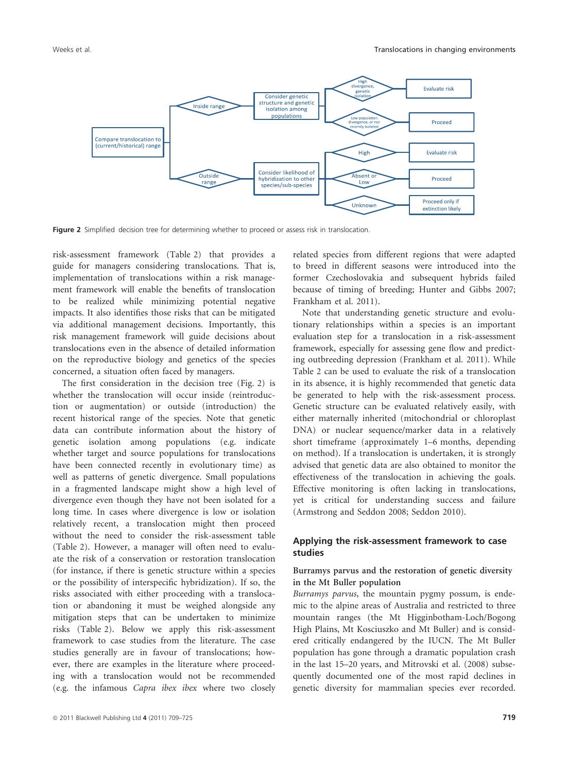

Figure 2 Simplified decision tree for determining whether to proceed or assess risk in translocation.

risk-assessment framework (Table 2) that provides a guide for managers considering translocations. That is, implementation of translocations within a risk management framework will enable the benefits of translocation to be realized while minimizing potential negative impacts. It also identifies those risks that can be mitigated via additional management decisions. Importantly, this risk management framework will guide decisions about translocations even in the absence of detailed information on the reproductive biology and genetics of the species concerned, a situation often faced by managers.

The first consideration in the decision tree (Fig. 2) is whether the translocation will occur inside (reintroduction or augmentation) or outside (introduction) the recent historical range of the species. Note that genetic data can contribute information about the history of genetic isolation among populations (e.g. indicate whether target and source populations for translocations have been connected recently in evolutionary time) as well as patterns of genetic divergence. Small populations in a fragmented landscape might show a high level of divergence even though they have not been isolated for a long time. In cases where divergence is low or isolation relatively recent, a translocation might then proceed without the need to consider the risk-assessment table (Table 2). However, a manager will often need to evaluate the risk of a conservation or restoration translocation (for instance, if there is genetic structure within a species or the possibility of interspecific hybridization). If so, the risks associated with either proceeding with a translocation or abandoning it must be weighed alongside any mitigation steps that can be undertaken to minimize risks (Table 2). Below we apply this risk-assessment framework to case studies from the literature. The case studies generally are in favour of translocations; however, there are examples in the literature where proceeding with a translocation would not be recommended (e.g. the infamous Capra ibex ibex where two closely

related species from different regions that were adapted to breed in different seasons were introduced into the former Czechoslovakia and subsequent hybrids failed because of timing of breeding; Hunter and Gibbs 2007; Frankham et al. 2011).

Note that understanding genetic structure and evolutionary relationships within a species is an important evaluation step for a translocation in a risk-assessment framework, especially for assessing gene flow and predicting outbreeding depression (Frankham et al. 2011). While Table 2 can be used to evaluate the risk of a translocation in its absence, it is highly recommended that genetic data be generated to help with the risk-assessment process. Genetic structure can be evaluated relatively easily, with either maternally inherited (mitochondrial or chloroplast DNA) or nuclear sequence/marker data in a relatively short timeframe (approximately 1–6 months, depending on method). If a translocation is undertaken, it is strongly advised that genetic data are also obtained to monitor the effectiveness of the translocation in achieving the goals. Effective monitoring is often lacking in translocations, yet is critical for understanding success and failure (Armstrong and Seddon 2008; Seddon 2010).

## Applying the risk-assessment framework to case studies

## Burramys parvus and the restoration of genetic diversity in the Mt Buller population

Burramys parvus, the mountain pygmy possum, is endemic to the alpine areas of Australia and restricted to three mountain ranges (the Mt Higginbotham-Loch/Bogong High Plains, Mt Kosciuszko and Mt Buller) and is considered critically endangered by the IUCN. The Mt Buller population has gone through a dramatic population crash in the last 15–20 years, and Mitrovski et al. (2008) subsequently documented one of the most rapid declines in genetic diversity for mammalian species ever recorded.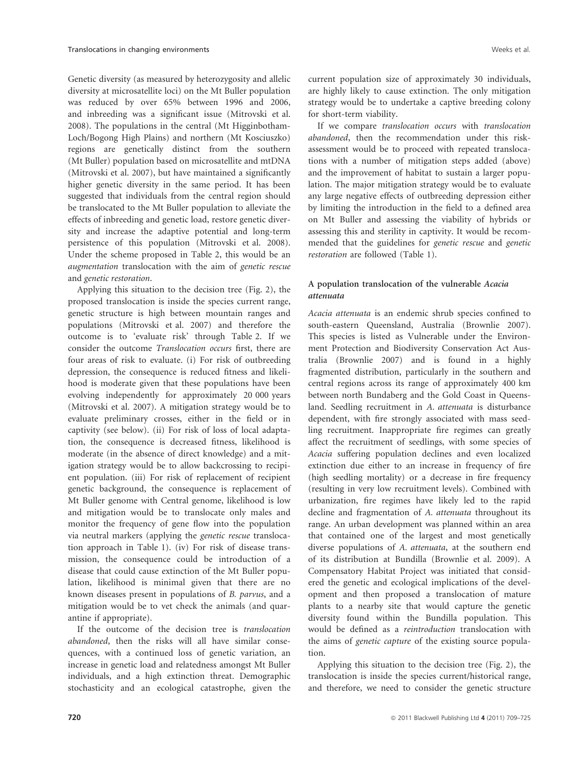Genetic diversity (as measured by heterozygosity and allelic diversity at microsatellite loci) on the Mt Buller population was reduced by over 65% between 1996 and 2006, and inbreeding was a significant issue (Mitrovski et al. 2008). The populations in the central (Mt Higginbotham-Loch/Bogong High Plains) and northern (Mt Kosciuszko) regions are genetically distinct from the southern (Mt Buller) population based on microsatellite and mtDNA (Mitrovski et al. 2007), but have maintained a significantly higher genetic diversity in the same period. It has been suggested that individuals from the central region should be translocated to the Mt Buller population to alleviate the effects of inbreeding and genetic load, restore genetic diversity and increase the adaptive potential and long-term persistence of this population (Mitrovski et al. 2008). Under the scheme proposed in Table 2, this would be an augmentation translocation with the aim of genetic rescue and genetic restoration.

Applying this situation to the decision tree (Fig. 2), the proposed translocation is inside the species current range, genetic structure is high between mountain ranges and populations (Mitrovski et al. 2007) and therefore the outcome is to 'evaluate risk' through Table 2. If we consider the outcome Translocation occurs first, there are four areas of risk to evaluate. (i) For risk of outbreeding depression, the consequence is reduced fitness and likelihood is moderate given that these populations have been evolving independently for approximately 20 000 years (Mitrovski et al. 2007). A mitigation strategy would be to evaluate preliminary crosses, either in the field or in captivity (see below). (ii) For risk of loss of local adaptation, the consequence is decreased fitness, likelihood is moderate (in the absence of direct knowledge) and a mitigation strategy would be to allow backcrossing to recipient population. (iii) For risk of replacement of recipient genetic background, the consequence is replacement of Mt Buller genome with Central genome, likelihood is low and mitigation would be to translocate only males and monitor the frequency of gene flow into the population via neutral markers (applying the genetic rescue translocation approach in Table 1). (iv) For risk of disease transmission, the consequence could be introduction of a disease that could cause extinction of the Mt Buller population, likelihood is minimal given that there are no known diseases present in populations of B. parvus, and a mitigation would be to vet check the animals (and quarantine if appropriate).

If the outcome of the decision tree is translocation abandoned, then the risks will all have similar consequences, with a continued loss of genetic variation, an increase in genetic load and relatedness amongst Mt Buller individuals, and a high extinction threat. Demographic stochasticity and an ecological catastrophe, given the current population size of approximately 30 individuals, are highly likely to cause extinction. The only mitigation strategy would be to undertake a captive breeding colony for short-term viability.

If we compare translocation occurs with translocation abandoned, then the recommendation under this riskassessment would be to proceed with repeated translocations with a number of mitigation steps added (above) and the improvement of habitat to sustain a larger population. The major mitigation strategy would be to evaluate any large negative effects of outbreeding depression either by limiting the introduction in the field to a defined area on Mt Buller and assessing the viability of hybrids or assessing this and sterility in captivity. It would be recommended that the guidelines for genetic rescue and genetic restoration are followed (Table 1).

## A population translocation of the vulnerable Acacia attenuata

Acacia attenuata is an endemic shrub species confined to south-eastern Queensland, Australia (Brownlie 2007). This species is listed as Vulnerable under the Environment Protection and Biodiversity Conservation Act Australia (Brownlie 2007) and is found in a highly fragmented distribution, particularly in the southern and central regions across its range of approximately 400 km between north Bundaberg and the Gold Coast in Queensland. Seedling recruitment in A. attenuata is disturbance dependent, with fire strongly associated with mass seedling recruitment. Inappropriate fire regimes can greatly affect the recruitment of seedlings, with some species of Acacia suffering population declines and even localized extinction due either to an increase in frequency of fire (high seedling mortality) or a decrease in fire frequency (resulting in very low recruitment levels). Combined with urbanization, fire regimes have likely led to the rapid decline and fragmentation of A. attenuata throughout its range. An urban development was planned within an area that contained one of the largest and most genetically diverse populations of A. attenuata, at the southern end of its distribution at Bundilla (Brownlie et al. 2009). A Compensatory Habitat Project was initiated that considered the genetic and ecological implications of the development and then proposed a translocation of mature plants to a nearby site that would capture the genetic diversity found within the Bundilla population. This would be defined as a reintroduction translocation with the aims of genetic capture of the existing source population.

Applying this situation to the decision tree (Fig. 2), the translocation is inside the species current/historical range, and therefore, we need to consider the genetic structure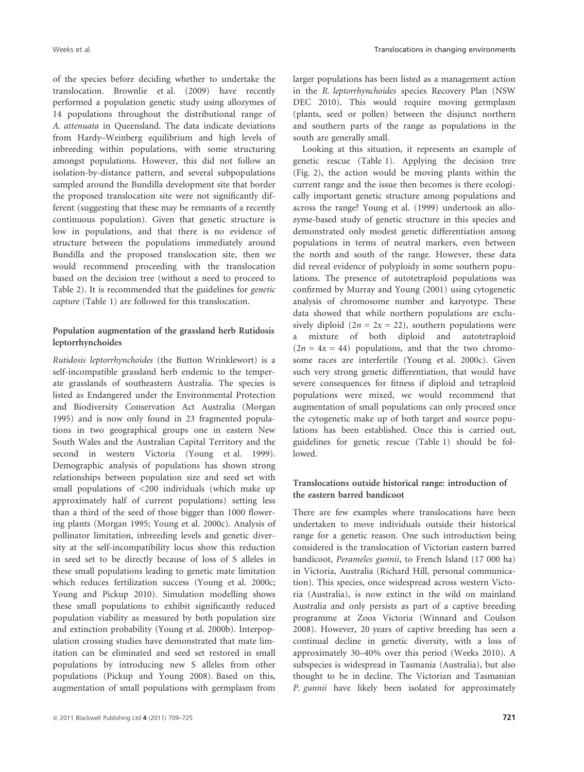of the species before deciding whether to undertake the translocation. Brownlie et al. (2009) have recently performed a population genetic study using allozymes of 14 populations throughout the distributional range of A. attenuata in Queensland. The data indicate deviations from Hardy–Weinberg equilibrium and high levels of inbreeding within populations, with some structuring amongst populations. However, this did not follow an isolation-by-distance pattern, and several subpopulations sampled around the Bundilla development site that border the proposed translocation site were not significantly different (suggesting that these may be remnants of a recently continuous population). Given that genetic structure is low in populations, and that there is no evidence of structure between the populations immediately around Bundilla and the proposed translocation site, then we would recommend proceeding with the translocation based on the decision tree (without a need to proceed to Table 2). It is recommended that the guidelines for genetic capture (Table 1) are followed for this translocation.

## Population augmentation of the grassland herb Rutidosis leptorrhynchoides

Rutidosis leptorrhynchoides (the Button Wrinklewort) is a self-incompatible grassland herb endemic to the temperate grasslands of southeastern Australia. The species is listed as Endangered under the Environmental Protection and Biodiversity Conservation Act Australia (Morgan 1995) and is now only found in 23 fragmented populations in two geographical groups one in eastern New South Wales and the Australian Capital Territory and the second in western Victoria (Young et al. 1999). Demographic analysis of populations has shown strong relationships between population size and seed set with small populations of <200 individuals (which make up approximately half of current populations) setting less than a third of the seed of those bigger than 1000 flowering plants (Morgan 1995; Young et al. 2000c). Analysis of pollinator limitation, inbreeding levels and genetic diversity at the self-incompatibility locus show this reduction in seed set to be directly because of loss of S alleles in these small populations leading to genetic mate limitation which reduces fertilization success (Young et al. 2000c; Young and Pickup 2010). Simulation modelling shows these small populations to exhibit significantly reduced population viability as measured by both population size and extinction probability (Young et al. 2000b). Interpopulation crossing studies have demonstrated that mate limitation can be eliminated and seed set restored in small populations by introducing new S alleles from other populations (Pickup and Young 2008). Based on this, augmentation of small populations with germplasm from larger populations has been listed as a management action in the R. leptorrhynchoides species Recovery Plan (NSW DEC 2010). This would require moving germplasm (plants, seed or pollen) between the disjunct northern and southern parts of the range as populations in the south are generally small.

Looking at this situation, it represents an example of genetic rescue (Table 1). Applying the decision tree (Fig. 2), the action would be moving plants within the current range and the issue then becomes is there ecologically important genetic structure among populations and across the range? Young et al. (1999) undertook an allozyme-based study of genetic structure in this species and demonstrated only modest genetic differentiation among populations in terms of neutral markers, even between the north and south of the range. However, these data did reveal evidence of polyploidy in some southern populations. The presence of autotetraploid populations was confirmed by Murray and Young (2001) using cytogenetic analysis of chromosome number and karyotype. These data showed that while northern populations are exclusively diploid  $(2n = 2x = 22)$ , southern populations were a mixture of both diploid and autotetraploid  $(2n = 4x = 44)$  populations, and that the two chromosome races are interfertile (Young et al. 2000c). Given such very strong genetic differentiation, that would have severe consequences for fitness if diploid and tetraploid populations were mixed, we would recommend that augmentation of small populations can only proceed once the cytogenetic make up of both target and source populations has been established. Once this is carried out, guidelines for genetic rescue (Table 1) should be followed.

#### Translocations outside historical range: introduction of the eastern barred bandicoot

There are few examples where translocations have been undertaken to move individuals outside their historical range for a genetic reason. One such introduction being considered is the translocation of Victorian eastern barred bandicoot, Perameles gunnii, to French Island (17 000 ha) in Victoria, Australia (Richard Hill, personal communication). This species, once widespread across western Victoria (Australia), is now extinct in the wild on mainland Australia and only persists as part of a captive breeding programme at Zoos Victoria (Winnard and Coulson 2008). However, 20 years of captive breeding has seen a continual decline in genetic diversity, with a loss of approximately 30–40% over this period (Weeks 2010). A subspecies is widespread in Tasmania (Australia), but also thought to be in decline. The Victorian and Tasmanian P. gunnii have likely been isolated for approximately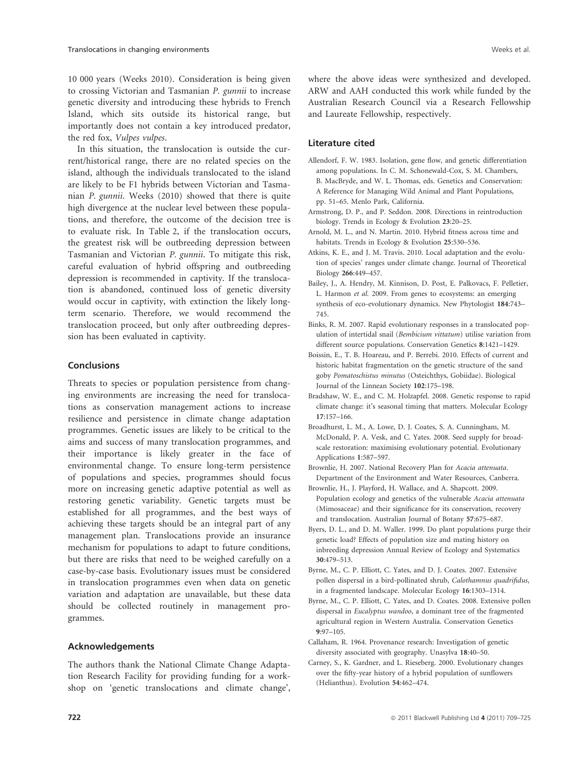10 000 years (Weeks 2010). Consideration is being given to crossing Victorian and Tasmanian P. gunnii to increase genetic diversity and introducing these hybrids to French Island, which sits outside its historical range, but importantly does not contain a key introduced predator, the red fox, Vulpes vulpes.

In this situation, the translocation is outside the current/historical range, there are no related species on the island, although the individuals translocated to the island are likely to be F1 hybrids between Victorian and Tasmanian P. gunnii. Weeks (2010) showed that there is quite high divergence at the nuclear level between these populations, and therefore, the outcome of the decision tree is to evaluate risk. In Table 2, if the translocation occurs, the greatest risk will be outbreeding depression between Tasmanian and Victorian P. gunnii. To mitigate this risk, careful evaluation of hybrid offspring and outbreeding depression is recommended in captivity. If the translocation is abandoned, continued loss of genetic diversity would occur in captivity, with extinction the likely longterm scenario. Therefore, we would recommend the translocation proceed, but only after outbreeding depression has been evaluated in captivity.

## **Conclusions**

Threats to species or population persistence from changing environments are increasing the need for translocations as conservation management actions to increase resilience and persistence in climate change adaptation programmes. Genetic issues are likely to be critical to the aims and success of many translocation programmes, and their importance is likely greater in the face of environmental change. To ensure long-term persistence of populations and species, programmes should focus more on increasing genetic adaptive potential as well as restoring genetic variability. Genetic targets must be established for all programmes, and the best ways of achieving these targets should be an integral part of any management plan. Translocations provide an insurance mechanism for populations to adapt to future conditions, but there are risks that need to be weighed carefully on a case-by-case basis. Evolutionary issues must be considered in translocation programmes even when data on genetic variation and adaptation are unavailable, but these data should be collected routinely in management programmes.

#### Acknowledgements

The authors thank the National Climate Change Adaptation Research Facility for providing funding for a workshop on 'genetic translocations and climate change', where the above ideas were synthesized and developed. ARW and AAH conducted this work while funded by the Australian Research Council via a Research Fellowship and Laureate Fellowship, respectively.

#### Literature cited

- Allendorf, F. W. 1983. Isolation, gene flow, and genetic differentiation among populations. In C. M. Schonewald-Cox, S. M. Chambers, B. MacBryde, and W. L. Thomas, eds. Genetics and Conservation: A Reference for Managing Wild Animal and Plant Populations, pp. 51–65. Menlo Park, California.
- Armstrong, D. P., and P. Seddon. 2008. Directions in reintroduction biology. Trends in Ecology & Evolution 23:20–25.
- Arnold, M. L., and N. Martin. 2010. Hybrid fitness across time and habitats. Trends in Ecology & Evolution 25:530–536.
- Atkins, K. E., and J. M. Travis. 2010. Local adaptation and the evolution of species' ranges under climate change. Journal of Theoretical Biology 266:449–457.
- Bailey, J., A. Hendry, M. Kinnison, D. Post, E. Palkovacs, F. Pelletier, L. Harmon et al. 2009. From genes to ecosystems: an emerging synthesis of eco-evolutionary dynamics. New Phytologist 184:743– 745.
- Binks, R. M. 2007. Rapid evolutionary responses in a translocated population of intertidal snail (Bembicium vittatum) utilise variation from different source populations. Conservation Genetics 8:1421–1429.
- Boissin, E., T. B. Hoareau, and P. Berrebi. 2010. Effects of current and historic habitat fragmentation on the genetic structure of the sand goby Pomatoschistus minutus (Osteichthys, Gobiidae). Biological Journal of the Linnean Society 102:175–198.
- Bradshaw, W. E., and C. M. Holzapfel. 2008. Genetic response to rapid climate change: it's seasonal timing that matters. Molecular Ecology 17:157–166.
- Broadhurst, L. M., A. Lowe, D. J. Coates, S. A. Cunningham, M. McDonald, P. A. Vesk, and C. Yates. 2008. Seed supply for broadscale restoration: maximising evolutionary potential. Evolutionary Applications 1:587–597.
- Brownlie, H. 2007. National Recovery Plan for Acacia attenuata. Department of the Environment and Water Resources, Canberra.
- Brownlie, H., J. Playford, H. Wallace, and A. Shapcott. 2009. Population ecology and genetics of the vulnerable Acacia attenuata (Mimosaceae) and their significance for its conservation, recovery and translocation. Australian Journal of Botany 57:675–687.
- Byers, D. L., and D. M. Waller. 1999. Do plant populations purge their genetic load? Effects of population size and mating history on inbreeding depression Annual Review of Ecology and Systematics 30:479–513.
- Byrne, M., C. P. Elliott, C. Yates, and D. J. Coates. 2007. Extensive pollen dispersal in a bird-pollinated shrub, Calothamnus quadrifidus, in a fragmented landscape. Molecular Ecology 16:1303–1314.
- Byrne, M., C. P. Elliott, C. Yates, and D. Coates. 2008. Extensive pollen dispersal in Eucalyptus wandoo, a dominant tree of the fragmented agricultural region in Western Australia. Conservation Genetics  $9.97 - 105$
- Callaham, R. 1964. Provenance research: Investigation of genetic diversity associated with geography. Unasylva 18:40–50.
- Carney, S., K. Gardner, and L. Rieseberg. 2000. Evolutionary changes over the fifty-year history of a hybrid population of sunflowers (Helianthus). Evolution 54:462–474.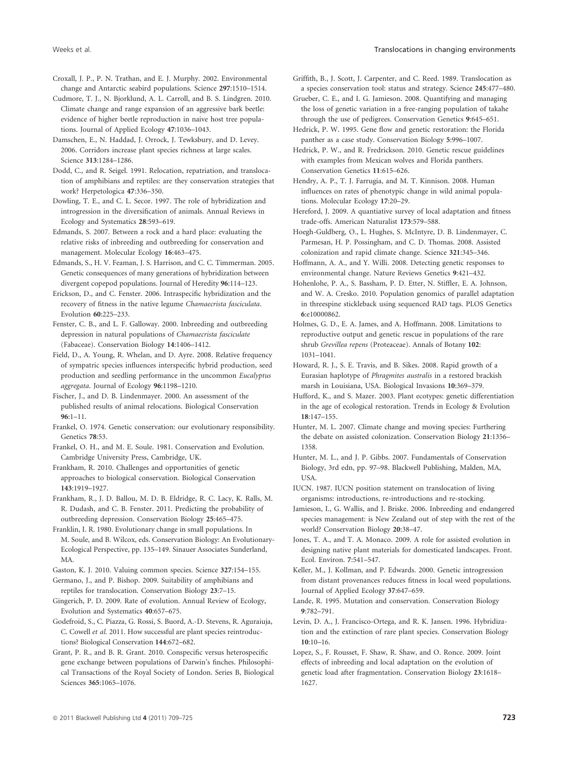Croxall, J. P., P. N. Trathan, and E. J. Murphy. 2002. Environmental change and Antarctic seabird populations. Science 297:1510–1514.

Cudmore, T. J., N. Bjorklund, A. L. Carroll, and B. S. Lindgren. 2010. Climate change and range expansion of an aggressive bark beetle: evidence of higher beetle reproduction in naive host tree populations. Journal of Applied Ecology 47:1036–1043.

Damschen, E., N. Haddad, J. Orrock, J. Tewksbury, and D. Levey. 2006. Corridors increase plant species richness at large scales. Science 313:1284–1286.

Dodd, C., and R. Seigel. 1991. Relocation, repatriation, and translocation of amphibians and reptiles: are they conservation strategies that work? Herpetologica 47:336–350.

Dowling, T. E., and C. L. Secor. 1997. The role of hybridization and introgression in the diversification of animals. Annual Reviews in Ecology and Systematics 28:593–619.

Edmands, S. 2007. Between a rock and a hard place: evaluating the relative risks of inbreeding and outbreeding for conservation and management. Molecular Ecology 16:463–475.

Edmands, S., H. V. Feaman, J. S. Harrison, and C. C. Timmerman. 2005. Genetic consequences of many generations of hybridization between divergent copepod populations. Journal of Heredity 96:114–123.

Erickson, D., and C. Fenster. 2006. Intraspecific hybridization and the recovery of fitness in the native legume Chamaecrista fasciculata. Evolution 60:225–233.

Fenster, C. B., and L. F. Galloway. 2000. Inbreeding and outbreeding depression in natural populations of Chamaecrista fasciculate (Fabaceae). Conservation Biology 14:1406–1412.

Field, D., A. Young, R. Whelan, and D. Ayre. 2008. Relative frequency of sympatric species influences interspecific hybrid production, seed production and seedling performance in the uncommon Eucalyptus aggregata. Journal of Ecology 96:1198–1210.

Fischer, J., and D. B. Lindenmayer. 2000. An assessment of the published results of animal relocations. Biological Conservation 96:1–11.

Frankel, O. 1974. Genetic conservation: our evolutionary responsibility. Genetics 78:53.

Frankel, O. H., and M. E. Soule. 1981. Conservation and Evolution. Cambridge University Press, Cambridge, UK.

Frankham, R. 2010. Challenges and opportunities of genetic approaches to biological conservation. Biological Conservation 143:1919–1927.

Frankham, R., J. D. Ballou, M. D. B. Eldridge, R. C. Lacy, K. Ralls, M. R. Dudash, and C. B. Fenster. 2011. Predicting the probability of outbreeding depression. Conservation Biology 25:465–475.

Franklin, I. R. 1980. Evolutionary change in small populations. In M. Soule, and B. Wilcox, eds. Conservation Biology: An Evolutionary-Ecological Perspective, pp. 135–149. Sinauer Associates Sunderland, MA.

Gaston, K. J. 2010. Valuing common species. Science 327:154–155.

Germano, J., and P. Bishop. 2009. Suitability of amphibians and reptiles for translocation. Conservation Biology 23:7–15.

Gingerich, P. D. 2009. Rate of evolution. Annual Review of Ecology, Evolution and Systematics 40:657–675.

Godefroid, S., C. Piazza, G. Rossi, S. Buord, A.-D. Stevens, R. Aguraiuja, C. Cowell et al. 2011. How successful are plant species reintroductions? Biological Conservation 144:672–682.

Grant, P. R., and B. R. Grant. 2010. Conspecific versus heterospecific gene exchange between populations of Darwin's finches. Philosophical Transactions of the Royal Society of London. Series B, Biological Sciences 365:1065–1076.

Griffith, B., J. Scott, J. Carpenter, and C. Reed. 1989. Translocation as a species conservation tool: status and strategy. Science 245:477–480.

Grueber, C. E., and I. G. Jamieson. 2008. Quantifying and managing the loss of genetic variation in a free-ranging population of takahe through the use of pedigrees. Conservation Genetics 9:645–651.

Hedrick, P. W. 1995. Gene flow and genetic restoration: the Florida panther as a case study. Conservation Biology 5:996–1007.

Hedrick, P. W., and R. Fredrickson. 2010. Genetic rescue guidelines with examples from Mexican wolves and Florida panthers. Conservation Genetics 11:615–626.

Hendry, A. P., T. J. Farrugia, and M. T. Kinnison. 2008. Human influences on rates of phenotypic change in wild animal populations. Molecular Ecology 17:20–29.

Hereford, J. 2009. A quantiative survey of local adaptation and fitness trade-offs. American Naturalist 173:579–588.

Hoegh-Guldberg, O., L. Hughes, S. McIntyre, D. B. Lindenmayer, C. Parmesan, H. P. Possingham, and C. D. Thomas. 2008. Assisted colonization and rapid climate change. Science 321:345–346.

Hoffmann, A. A., and Y. Willi. 2008. Detecting genetic responses to environmental change. Nature Reviews Genetics 9:421–432.

Hohenlohe, P. A., S. Bassham, P. D. Etter, N. Stiffler, E. A. Johnson, and W. A. Cresko. 2010. Population genomics of parallel adaptation in threespine stickleback using sequenced RAD tags. PLOS Genetics 6:e10000862.

Holmes, G. D., E. A. James, and A. Hoffmann. 2008. Limitations to reproductive output and genetic rescue in populations of the rare shrub Grevillea repens (Proteaceae). Annals of Botany 102: 1031–1041.

Howard, R. J., S. E. Travis, and B. Sikes. 2008. Rapid growth of a Eurasian haplotype of Phragmites australis in a restored brackish marsh in Louisiana, USA. Biological Invasions 10:369–379.

Hufford, K., and S. Mazer. 2003. Plant ecotypes: genetic differentiation in the age of ecological restoration. Trends in Ecology & Evolution 18:147–155.

Hunter, M. L. 2007. Climate change and moving species: Furthering the debate on assisted colonization. Conservation Biology 21:1356– 1358.

Hunter, M. L., and J. P. Gibbs. 2007. Fundamentals of Conservation Biology, 3rd edn, pp. 97–98. Blackwell Publishing, Malden, MA, USA.

IUCN. 1987. IUCN position statement on translocation of living organisms: introductions, re-introductions and re-stocking.

Jamieson, I., G. Wallis, and J. Briske. 2006. Inbreeding and endangered species management: is New Zealand out of step with the rest of the world? Conservation Biology 20:38–47.

Jones, T. A., and T. A. Monaco. 2009. A role for assisted evolution in designing native plant materials for domesticated landscapes. Front. Ecol. Environ. 7:541–547.

Keller, M., J. Kollman, and P. Edwards. 2000. Genetic introgression from distant provenances reduces fitness in local weed populations. Journal of Applied Ecology 37:647–659.

Lande, R. 1995. Mutation and conservation. Conservation Biology 9:782–791.

Levin, D. A., J. Francisco-Ortega, and R. K. Jansen. 1996. Hybridization and the extinction of rare plant species. Conservation Biology  $10:10-16$ 

Lopez, S., F. Rousset, F. Shaw, R. Shaw, and O. Ronce. 2009. Joint effects of inbreeding and local adaptation on the evolution of genetic load after fragmentation. Conservation Biology 23:1618– 1627.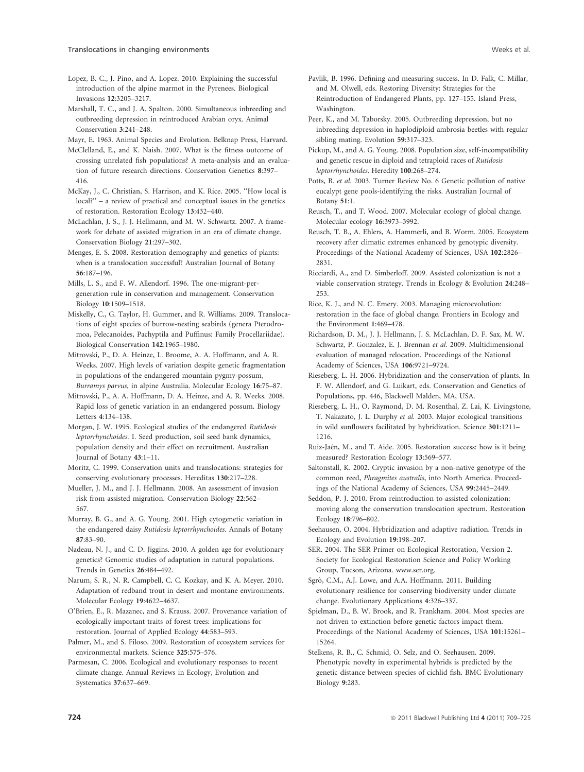Lopez, B. C., J. Pino, and A. Lopez. 2010. Explaining the successful introduction of the alpine marmot in the Pyrenees. Biological Invasions 12:3205–3217.

Marshall, T. C., and J. A. Spalton. 2000. Simultaneous inbreeding and outbreeding depression in reintroduced Arabian oryx. Animal Conservation 3:241–248.

Mayr, E. 1963. Animal Species and Evolution. Belknap Press, Harvard.

McClelland, E., and K. Naish. 2007. What is the fitness outcome of crossing unrelated fish populations? A meta-analysis and an evaluation of future research directions. Conservation Genetics 8:397– 416.

McKay, J., C. Christian, S. Harrison, and K. Rice. 2005. ''How local is local?'' – a review of practical and conceptual issues in the genetics of restoration. Restoration Ecology 13:432–440.

McLachlan, J. S., J. J. Hellmann, and M. W. Schwartz. 2007. A framework for debate of assisted migration in an era of climate change. Conservation Biology 21:297–302.

Menges, E. S. 2008. Restoration demography and genetics of plants: when is a translocation successful? Australian Journal of Botany 56:187–196.

Mills, L. S., and F. W. Allendorf. 1996. The one-migrant-pergeneration rule in conservation and management. Conservation Biology 10:1509–1518.

Miskelly, C., G. Taylor, H. Gummer, and R. Williams. 2009. Translocations of eight species of burrow-nesting seabirds (genera Pterodromoa, Pelecanoides, Pachyptila and Puffinus: Family Procellariidae). Biological Conservation 142:1965–1980.

Mitrovski, P., D. A. Heinze, L. Broome, A. A. Hoffmann, and A. R. Weeks. 2007. High levels of variation despite genetic fragmentation in populations of the endangered mountain pygmy-possum, Burramys parvus, in alpine Australia. Molecular Ecology 16:75–87.

Mitrovski, P., A. A. Hoffmann, D. A. Heinze, and A. R. Weeks. 2008. Rapid loss of genetic variation in an endangered possum. Biology Letters 4:134–138.

Morgan, J. W. 1995. Ecological studies of the endangered Rutidosis leptorrhynchoides. I. Seed production, soil seed bank dynamics, population density and their effect on recruitment. Australian Journal of Botany 43:1–11.

Moritz, C. 1999. Conservation units and translocations: strategies for conserving evolutionary processes. Hereditas 130:217–228.

Mueller, J. M., and J. J. Hellmann. 2008. An assessment of invasion risk from assisted migration. Conservation Biology 22:562– 567.

Murray, B. G., and A. G. Young. 2001. High cytogenetic variation in the endangered daisy Rutidosis leptorrhynchoides. Annals of Botany 87:83–90.

Nadeau, N. J., and C. D. Jiggins. 2010. A golden age for evolutionary genetics? Genomic studies of adaptation in natural populations. Trends in Genetics 26:484–492.

Narum, S. R., N. R. Campbell, C. C. Kozkay, and K. A. Meyer. 2010. Adaptation of redband trout in desert and montane environments. Molecular Ecology 19:4622–4637.

O'Brien, E., R. Mazanec, and S. Krauss. 2007. Provenance variation of ecologically important traits of forest trees: implications for restoration. Journal of Applied Ecology 44:583–593.

Palmer, M., and S. Filoso. 2009. Restoration of ecosystem services for environmental markets. Science 325:575–576.

Parmesan, C. 2006. Ecological and evolutionary responses to recent climate change. Annual Reviews in Ecology, Evolution and Systematics 37:637–669.

- Pavlik, B. 1996. Defining and measuring success. In D. Falk, C. Millar, and M. Olwell, eds. Restoring Diversity: Strategies for the Reintroduction of Endangered Plants, pp. 127–155. Island Press, Washington.
- Peer, K., and M. Taborsky. 2005. Outbreeding depression, but no inbreeding depression in haplodiploid ambrosia beetles with regular sibling mating. Evolution 59:317–323.

Pickup, M., and A. G. Young. 2008. Population size, self-incompatibility and genetic rescue in diploid and tetraploid races of Rutidosis leptorrhynchoides. Heredity 100:268–274.

Potts, B. et al. 2003. Turner Review No. 6 Genetic pollution of native eucalypt gene pools-identifying the risks. Australian Journal of Botany 51:1.

Reusch, T., and T. Wood. 2007. Molecular ecology of global change. Molecular ecology 16:3973–3992.

Reusch, T. B., A. Ehlers, A. Hammerli, and B. Worm. 2005. Ecosystem recovery after climatic extremes enhanced by genotypic diversity. Proceedings of the National Academy of Sciences, USA 102:2826– 2831.

Ricciardi, A., and D. Simberloff. 2009. Assisted colonization is not a viable conservation strategy. Trends in Ecology & Evolution 24:248– 253.

Rice, K. J., and N. C. Emery. 2003. Managing microevolution: restoration in the face of global change. Frontiers in Ecology and the Environment 1:469–478.

Richardson, D. M., J. J. Hellmann, J. S. McLachlan, D. F. Sax, M. W. Schwartz, P. Gonzalez, E. J. Brennan et al. 2009. Multidimensional evaluation of managed relocation. Proceedings of the National Academy of Sciences, USA 106:9721–9724.

Rieseberg, L. H. 2006. Hybridization and the conservation of plants. In F. W. Allendorf, and G. Luikart, eds. Conservation and Genetics of Populations, pp. 446, Blackwell Malden, MA, USA.

Rieseberg, L. H., O. Raymond, D. M. Rosenthal, Z. Lai, K. Livingstone, T. Nakazato, J. L. Durphy et al. 2003. Major ecological transitions in wild sunflowers facilitated by hybridization. Science 301:1211– 1216.

Ruiz-Jaén, M., and T. Aide. 2005. Restoration success: how is it being measured? Restoration Ecology 13:569–577.

Saltonstall, K. 2002. Cryptic invasion by a non-native genotype of the common reed, Phragmites australis, into North America. Proceedings of the National Academy of Sciences, USA 99:2445–2449.

Seddon, P. J. 2010. From reintroduction to assisted colonization: moving along the conservation translocation spectrum. Restoration Ecology 18:796–802.

Seehausen, O. 2004. Hybridization and adaptive radiation. Trends in Ecology and Evolution 19:198–207.

SER. 2004. The SER Primer on Ecological Restoration, Version 2. Society for Ecological Restoration Science and Policy Working Group, Tucson, Arizona. www.ser.org.

Sgrò, C.M., A.J. Lowe, and A.A. Hoffmann. 2011. Building evolutionary resilience for conserving biodiversity under climate change. Evolutionary Applications 4:326–337.

Spielman, D., B. W. Brook, and R. Frankham. 2004. Most species are not driven to extinction before genetic factors impact them. Proceedings of the National Academy of Sciences, USA 101:15261– 15264.

Stelkens, R. B., C. Schmid, O. Selz, and O. Seehausen. 2009. Phenotypic novelty in experimental hybrids is predicted by the genetic distance between species of cichlid fish. BMC Evolutionary Biology 9:283.